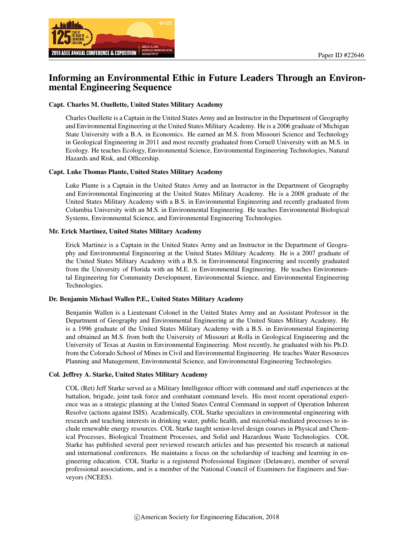

# Informing an Environmental Ethic in Future Leaders Through an Environmental Engineering Sequence

#### Capt. Charles M. Ouellette, United States Military Academy

Charles Ouellette is a Captain in the United States Army and an Instructor in the Department of Geography and Environmental Engineering at the United States Military Academy. He is a 2006 graduate of Michigan State University with a B.A. in Economics. He earned an M.S. from Missouri Science and Technology in Geological Engineering in 2011 and most recently graduated from Cornell University with an M.S. in Ecology. He teaches Ecology, Environmental Science, Environmental Engineering Technologies, Natural Hazards and Risk, and Officership.

#### Capt. Luke Thomas Plante, United States Military Academy

Luke Plante is a Captain in the United States Army and an Instructor in the Department of Geography and Environmental Engineering at the United States Military Academy. He is a 2008 graduate of the United States Military Academy with a B.S. in Environmental Engineering and recently graduated from Columbia University with an M.S. in Environmental Engineering. He teaches Environmental Biological Systems, Environmental Science, and Environmental Engineering Technologies.

#### Mr. Erick Martinez, United States Military Academy

Erick Martinez is a Captain in the United States Army and an Instructor in the Department of Geography and Environmental Engineering at the United States Military Academy. He is a 2007 graduate of the United States Military Academy with a B.S. in Environmental Engineering and recently graduated from the University of Florida with an M.E. in Environmental Engineering. He teaches Environmental Engineering for Community Development, Environmental Science, and Environmental Engineering Technologies.

#### Dr. Benjamin Michael Wallen P.E., United States Military Academy

Benjamin Wallen is a Lieutenant Colonel in the United States Army and an Assistant Professor in the Department of Geography and Environmental Engineering at the United States Military Academy. He is a 1996 graduate of the United States Military Academy with a B.S. in Environmental Engineering and obtained an M.S. from both the University of Missouri at Rolla in Geological Engineering and the University of Texas at Austin in Environmental Engineering. Most recently, he graduated with his Ph.D. from the Colorado School of Mines in Civil and Environmental Engineering. He teaches Water Resources Planning and Management, Environmental Science, and Environmental Engineering Technologies.

#### Col. Jeffrey A. Starke, United States Military Academy

COL (Ret) Jeff Starke served as a Military Intelligence officer with command and staff experiences at the battalion, brigade, joint task force and combatant command levels. His most recent operational experience was as a strategic planning at the United States Central Command in support of Operation Inherent Resolve (actions against ISIS). Academically, COL Starke specializes in environmental engineering with research and teaching interests in drinking water, public health, and microbial-mediated processes to include renewable energy resources. COL Starke taught senior-level design courses in Physical and Chemical Processes, Biological Treatment Processes, and Solid and Hazardous Waste Technologies. COL Starke has published several peer reviewed research articles and has presented his research at national and international conferences. He maintains a focus on the scholarship of teaching and learning in engineering education. COL Starke is a registered Professional Engineer (Delaware), member of several professional associations, and is a member of the National Council of Examiners for Engineers and Surveyors (NCEES).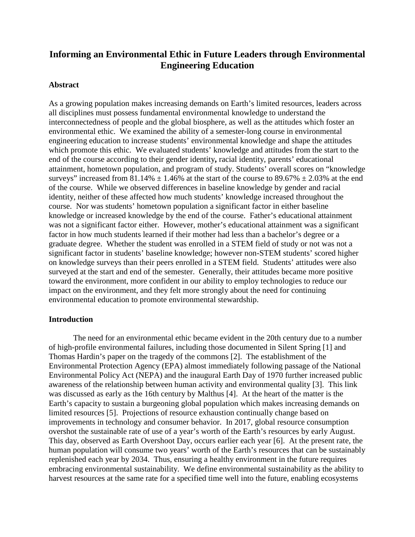# **Informing an Environmental Ethic in Future Leaders through Environmental Engineering Education**

## **Abstract**

As a growing population makes increasing demands on Earth's limited resources, leaders across all disciplines must possess fundamental environmental knowledge to understand the interconnectedness of people and the global biosphere, as well as the attitudes which foster an environmental ethic. We examined the ability of a semester-long course in environmental engineering education to increase students' environmental knowledge and shape the attitudes which promote this ethic. We evaluated students' knowledge and attitudes from the start to the end of the course according to their gender identity**,** racial identity, parents' educational attainment, hometown population, and program of study. Students' overall scores on "knowledge surveys" increased from  $81.14\% \pm 1.46\%$  at the start of the course to  $89.67\% \pm 2.03\%$  at the end of the course. While we observed differences in baseline knowledge by gender and racial identity, neither of these affected how much students' knowledge increased throughout the course. Nor was students' hometown population a significant factor in either baseline knowledge or increased knowledge by the end of the course. Father's educational attainment was not a significant factor either. However, mother's educational attainment was a significant factor in how much students learned if their mother had less than a bachelor's degree or a graduate degree. Whether the student was enrolled in a STEM field of study or not was not a significant factor in students' baseline knowledge; however non-STEM students' scored higher on knowledge surveys than their peers enrolled in a STEM field. Students' attitudes were also surveyed at the start and end of the semester. Generally, their attitudes became more positive toward the environment, more confident in our ability to employ technologies to reduce our impact on the environment, and they felt more strongly about the need for continuing environmental education to promote environmental stewardship.

## **Introduction**

The need for an environmental ethic became evident in the 20th century due to a number of high-profile environmental failures, including those documented in Silent Spring [1] and Thomas Hardin's paper on the tragedy of the commons [2]. The establishment of the Environmental Protection Agency (EPA) almost immediately following passage of the National Environmental Policy Act (NEPA) and the inaugural Earth Day of 1970 further increased public awareness of the relationship between human activity and environmental quality [3]. This link was discussed as early as the 16th century by Malthus [4]. At the heart of the matter is the Earth's capacity to sustain a burgeoning global population which makes increasing demands on limited resources [5]. Projections of resource exhaustion continually change based on improvements in technology and consumer behavior. In 2017, global resource consumption overshot the sustainable rate of use of a year's worth of the Earth's resources by early August. This day, observed as Earth Overshoot Day, occurs earlier each year [6]. At the present rate, the human population will consume two years' worth of the Earth's resources that can be sustainably replenished each year by 2034. Thus, ensuring a healthy environment in the future requires embracing environmental sustainability. We define environmental sustainability as the ability to harvest resources at the same rate for a specified time well into the future, enabling ecosystems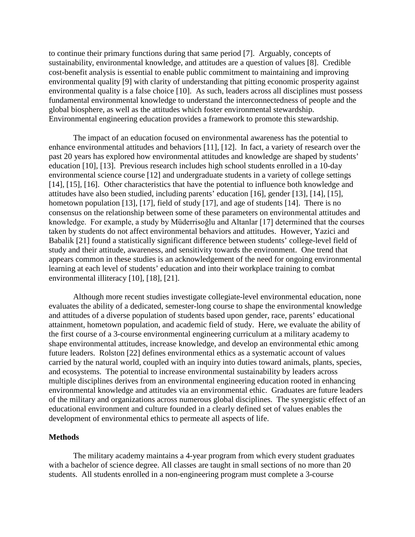to continue their primary functions during that same period [7]. Arguably, concepts of sustainability, environmental knowledge, and attitudes are a question of values [8]. Credible cost-benefit analysis is essential to enable public commitment to maintaining and improving environmental quality [9] with clarity of understanding that pitting economic prosperity against environmental quality is a false choice [10]. As such, leaders across all disciplines must possess fundamental environmental knowledge to understand the interconnectedness of people and the global biosphere, as well as the attitudes which foster environmental stewardship. Environmental engineering education provides a framework to promote this stewardship.

The impact of an education focused on environmental awareness has the potential to enhance environmental attitudes and behaviors [11], [12]. In fact, a variety of research over the past 20 years has explored how environmental attitudes and knowledge are shaped by students' education [10], [13]. Previous research includes high school students enrolled in a 10-day environmental science course [12] and undergraduate students in a variety of college settings [14], [15], [16]. Other characteristics that have the potential to influence both knowledge and attitudes have also been studied, including parents' education [16], gender [13], [14], [15], hometown population [13], [17], field of study [17], and age of students [14]. There is no consensus on the relationship between some of these parameters on environmental attitudes and knowledge. For example, a study by Müderrisoğlu and Altanlar [17] determined that the courses taken by students do not affect environmental behaviors and attitudes. However, Yazici and Babalik [21] found a statistically significant difference between students' college-level field of study and their attitude, awareness, and sensitivity towards the environment. One trend that appears common in these studies is an acknowledgement of the need for ongoing environmental learning at each level of students' education and into their workplace training to combat environmental illiteracy [10], [18], [21].

Although more recent studies investigate collegiate-level environmental education, none evaluates the ability of a dedicated, semester-long course to shape the environmental knowledge and attitudes of a diverse population of students based upon gender, race, parents' educational attainment, hometown population, and academic field of study. Here, we evaluate the ability of the first course of a 3-course environmental engineering curriculum at a military academy to shape environmental attitudes, increase knowledge, and develop an environmental ethic among future leaders. Rolston [22] defines environmental ethics as a systematic account of values carried by the natural world, coupled with an inquiry into duties toward animals, plants, species, and ecosystems. The potential to increase environmental sustainability by leaders across multiple disciplines derives from an environmental engineering education rooted in enhancing environmental knowledge and attitudes via an environmental ethic. Graduates are future leaders of the military and organizations across numerous global disciplines. The synergistic effect of an educational environment and culture founded in a clearly defined set of values enables the development of environmental ethics to permeate all aspects of life.

## **Methods**

The military academy maintains a 4-year program from which every student graduates with a bachelor of science degree. All classes are taught in small sections of no more than 20 students. All students enrolled in a non-engineering program must complete a 3-course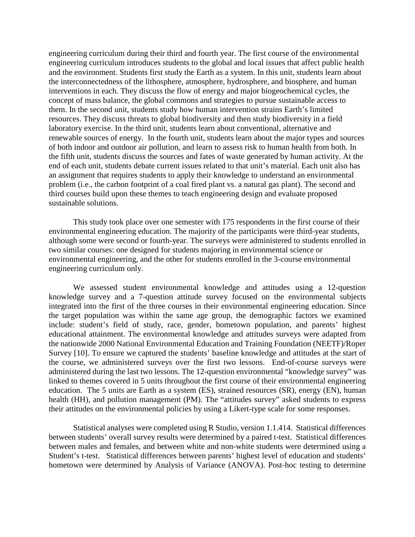engineering curriculum during their third and fourth year. The first course of the environmental engineering curriculum introduces students to the global and local issues that affect public health and the environment. Students first study the Earth as a system. In this unit, students learn about the interconnectedness of the lithosphere, atmosphere, hydrosphere, and biosphere, and human interventions in each. They discuss the flow of energy and major biogeochemical cycles, the concept of mass balance, the global commons and strategies to pursue sustainable access to them. In the second unit, students study how human intervention strains Earth's limited resources. They discuss threats to global biodiversity and then study biodiversity in a field laboratory exercise. In the third unit, students learn about conventional, alternative and renewable sources of energy. In the fourth unit, students learn about the major types and sources of both indoor and outdoor air pollution, and learn to assess risk to human health from both. In the fifth unit, students discuss the sources and fates of waste generated by human activity. At the end of each unit, students debate current issues related to that unit's material. Each unit also has an assignment that requires students to apply their knowledge to understand an environmental problem (i.e., the carbon footprint of a coal fired plant vs. a natural gas plant). The second and third courses build upon these themes to teach engineering design and evaluate proposed sustainable solutions.

This study took place over one semester with 175 respondents in the first course of their environmental engineering education. The majority of the participants were third-year students, although some were second or fourth-year. The surveys were administered to students enrolled in two similar courses: one designed for students majoring in environmental science or environmental engineering, and the other for students enrolled in the 3-course environmental engineering curriculum only.

We assessed student environmental knowledge and attitudes using a 12-question knowledge survey and a 7-question attitude survey focused on the environmental subjects integrated into the first of the three courses in their environmental engineering education. Since the target population was within the same age group, the demographic factors we examined include: student's field of study, race, gender, hometown population, and parents' highest educational attainment. The environmental knowledge and attitudes surveys were adapted from the nationwide 2000 National Environmental Education and Training Foundation (NEETF)/Roper Survey [10]. To ensure we captured the students' baseline knowledge and attitudes at the start of the course, we administered surveys over the first two lessons. End-of-course surveys were administered during the last two lessons. The 12-question environmental "knowledge survey" was linked to themes covered in 5 units throughout the first course of their environmental engineering education. The 5 units are Earth as a system (ES), strained resources (SR), energy (EN), human health (HH), and pollution management (PM). The "attitudes survey" asked students to express their attitudes on the environmental policies by using a Likert-type scale for some responses.

Statistical analyses were completed using R Studio, version 1.1.414. Statistical differences between students' overall survey results were determined by a paired t-test. Statistical differences between males and females, and between white and non-white students were determined using a Student's t-test. Statistical differences between parents' highest level of education and students' hometown were determined by Analysis of Variance (ANOVA). Post-hoc testing to determine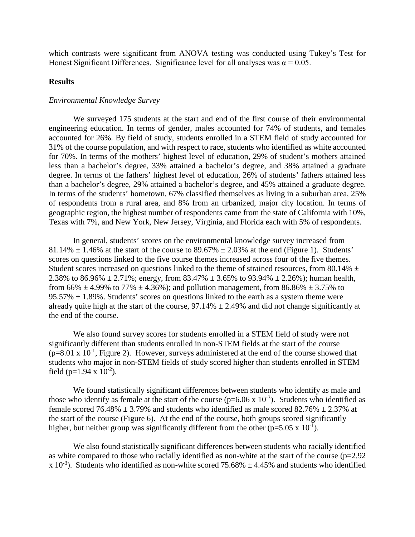which contrasts were significant from ANOVA testing was conducted using Tukey's Test for Honest Significant Differences. Significance level for all analyses was  $\alpha = 0.05$ .

# **Results**

## *Environmental Knowledge Survey*

We surveyed 175 students at the start and end of the first course of their environmental engineering education. In terms of gender, males accounted for 74% of students, and females accounted for 26%. By field of study, students enrolled in a STEM field of study accounted for 31% of the course population, and with respect to race, students who identified as white accounted for 70%. In terms of the mothers' highest level of education, 29% of student's mothers attained less than a bachelor's degree, 33% attained a bachelor's degree, and 38% attained a graduate degree. In terms of the fathers' highest level of education, 26% of students' fathers attained less than a bachelor's degree, 29% attained a bachelor's degree, and 45% attained a graduate degree. In terms of the students' hometown, 67% classified themselves as living in a suburban area, 25% of respondents from a rural area, and 8% from an urbanized, major city location. In terms of geographic region, the highest number of respondents came from the state of California with 10%, Texas with 7%, and New York, New Jersey, Virginia, and Florida each with 5% of respondents.

In general, students' scores on the environmental knowledge survey increased from  $81.14\% \pm 1.46\%$  at the start of the course to  $89.67\% \pm 2.03\%$  at the end (Figure 1). Students' scores on questions linked to the five course themes increased across four of the five themes. Student scores increased on questions linked to the theme of strained resources, from 80.14%  $\pm$ 2.38% to 86.96%  $\pm$  2.71%; energy, from 83.47%  $\pm$  3.65% to 93.94%  $\pm$  2.26%); human health, from 66%  $\pm$  4.99% to 77%  $\pm$  4.36%); and pollution management, from 86.86%  $\pm$  3.75% to  $95.57\% \pm 1.89\%$ . Students' scores on questions linked to the earth as a system theme were already quite high at the start of the course,  $97.14\% \pm 2.49\%$  and did not change significantly at the end of the course.

We also found survey scores for students enrolled in a STEM field of study were not significantly different than students enrolled in non-STEM fields at the start of the course  $(p=8.01 \times 10^{-1}$ , Figure 2). However, surveys administered at the end of the course showed that students who major in non-STEM fields of study scored higher than students enrolled in STEM field (p=1.94 x  $10^{-2}$ ).

We found statistically significant differences between students who identify as male and those who identify as female at the start of the course ( $p=6.06 \times 10^{-3}$ ). Students who identified as female scored 76.48%  $\pm$  3.79% and students who identified as male scored 82.76%  $\pm$  2.37% at the start of the course (Figure 6). At the end of the course, both groups scored significantly higher, but neither group was significantly different from the other ( $p=5.05 \times 10^{-1}$ ).

We also found statistically significant differences between students who racially identified as white compared to those who racially identified as non-white at the start of the course  $(p=2.92)$ x 10<sup>-3</sup>). Students who identified as non-white scored 75.68%  $\pm$  4.45% and students who identified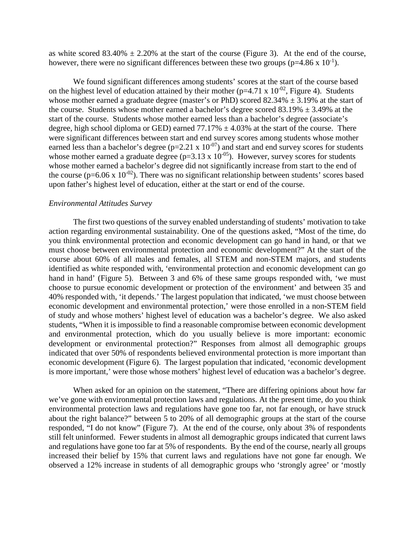as white scored  $83.40\% \pm 2.20\%$  at the start of the course (Figure 3). At the end of the course, however, there were no significant differences between these two groups ( $p=4.86 \times 10^{-1}$ ).

We found significant differences among students' scores at the start of the course based on the highest level of education attained by their mother ( $p=4.71 \times 10^{-02}$ , Figure 4). Students whose mother earned a graduate degree (master's or PhD) scored  $82.34\% \pm 3.19\%$  at the start of the course. Students whose mother earned a bachelor's degree scored  $83.19\% \pm 3.49\%$  at the start of the course. Students whose mother earned less than a bachelor's degree (associate's degree, high school diploma or GED) earned  $77.17\% \pm 4.03\%$  at the start of the course. There were significant differences between start and end survey scores among students whose mother earned less than a bachelor's degree ( $p=2.21 \times 10^{-07}$ ) and start and end survey scores for students whose mother earned a graduate degree ( $p=3.13 \times 10^{-05}$ ). However, survey scores for students whose mother earned a bachelor's degree did not significantly increase from start to the end of the course ( $p=6.06 \times 10^{-02}$ ). There was no significant relationship between students' scores based upon father's highest level of education, either at the start or end of the course.

#### *Environmental Attitudes Survey*

The first two questions of the survey enabled understanding of students' motivation to take action regarding environmental sustainability. One of the questions asked, "Most of the time, do you think environmental protection and economic development can go hand in hand, or that we must choose between environmental protection and economic development?" At the start of the course about 60% of all males and females, all STEM and non-STEM majors, and students identified as white responded with, 'environmental protection and economic development can go hand in hand' (Figure 5). Between 3 and 6% of these same groups responded with, 'we must choose to pursue economic development or protection of the environment' and between 35 and 40% responded with, 'it depends.' The largest population that indicated, 'we must choose between economic development and environmental protection,' were those enrolled in a non-STEM field of study and whose mothers' highest level of education was a bachelor's degree. We also asked students, "When it is impossible to find a reasonable compromise between economic development and environmental protection, which do you usually believe is more important: economic development or environmental protection?" Responses from almost all demographic groups indicated that over 50% of respondents believed environmental protection is more important than economic development (Figure 6). The largest population that indicated, 'economic development is more important,' were those whose mothers' highest level of education was a bachelor's degree.

When asked for an opinion on the statement, "There are differing opinions about how far we've gone with environmental protection laws and regulations. At the present time, do you think environmental protection laws and regulations have gone too far, not far enough, or have struck about the right balance?" between 5 to 20% of all demographic groups at the start of the course responded, "I do not know" (Figure 7). At the end of the course, only about 3% of respondents still felt uninformed. Fewer students in almost all demographic groups indicated that current laws and regulations have gone too far at 5% of respondents. By the end of the course, nearly all groups increased their belief by 15% that current laws and regulations have not gone far enough. We observed a 12% increase in students of all demographic groups who 'strongly agree' or 'mostly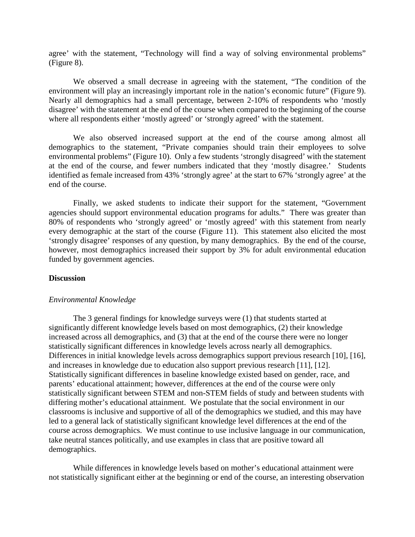agree' with the statement, "Technology will find a way of solving environmental problems" (Figure 8).

We observed a small decrease in agreeing with the statement, "The condition of the environment will play an increasingly important role in the nation's economic future" (Figure 9). Nearly all demographics had a small percentage, between 2-10% of respondents who 'mostly disagree' with the statement at the end of the course when compared to the beginning of the course where all respondents either 'mostly agreed' or 'strongly agreed' with the statement.

We also observed increased support at the end of the course among almost all demographics to the statement, "Private companies should train their employees to solve environmental problems" (Figure 10). Only a few students 'strongly disagreed' with the statement at the end of the course, and fewer numbers indicated that they 'mostly disagree.' Students identified as female increased from 43% 'strongly agree' at the start to 67% 'strongly agree' at the end of the course.

Finally, we asked students to indicate their support for the statement, "Government agencies should support environmental education programs for adults." There was greater than 80% of respondents who 'strongly agreed' or 'mostly agreed' with this statement from nearly every demographic at the start of the course (Figure 11). This statement also elicited the most 'strongly disagree' responses of any question, by many demographics. By the end of the course, however, most demographics increased their support by 3% for adult environmental education funded by government agencies.

#### **Discussion**

### *Environmental Knowledge*

 The 3 general findings for knowledge surveys were (1) that students started at significantly different knowledge levels based on most demographics, (2) their knowledge increased across all demographics, and (3) that at the end of the course there were no longer statistically significant differences in knowledge levels across nearly all demographics. Differences in initial knowledge levels across demographics support previous research [10], [16], and increases in knowledge due to education also support previous research [11], [12]. Statistically significant differences in baseline knowledge existed based on gender, race, and parents' educational attainment; however, differences at the end of the course were only statistically significant between STEM and non-STEM fields of study and between students with differing mother's educational attainment. We postulate that the social environment in our classrooms is inclusive and supportive of all of the demographics we studied, and this may have led to a general lack of statistically significant knowledge level differences at the end of the course across demographics. We must continue to use inclusive language in our communication, take neutral stances politically, and use examples in class that are positive toward all demographics.

While differences in knowledge levels based on mother's educational attainment were not statistically significant either at the beginning or end of the course, an interesting observation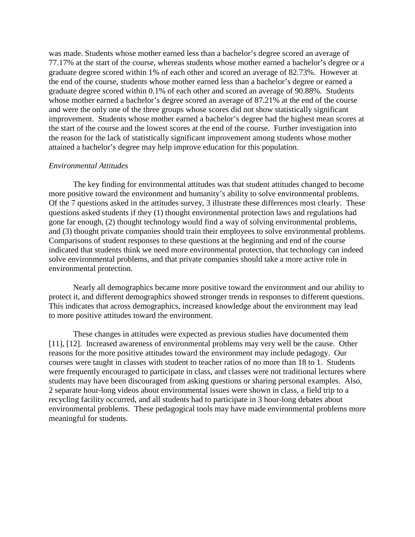was made. Students whose mother earned less than a bachelor's degree scored an average of 77.17% at the start of the course, whereas students whose mother earned a bachelor's degree or a graduate degree scored within 1% of each other and scored an average of 82.73%. However at the end of the course, students whose mother earned less than a bachelor's degree or earned a graduate degree scored within 0.1% of each other and scored an average of 90.88%. Students whose mother earned a bachelor's degree scored an average of 87.21% at the end of the course and were the only one of the three groups whose scores did not show statistically significant improvement. Students whose mother earned a bachelor's degree had the highest mean scores at the start of the course and the lowest scores at the end of the course. Further investigation into the reason for the lack of statistically significant improvement among students whose mother attained a bachelor's degree may help improve education for this population.

## *Environmental Attitudes*

 The key finding for environmental attitudes was that student attitudes changed to become more positive toward the environment and humanity's ability to solve environmental problems. Of the 7 questions asked in the attitudes survey, 3 illustrate these differences most clearly. These questions asked students if they (1) thought environmental protection laws and regulations had gone far enough, (2) thought technology would find a way of solving environmental problems, and (3) thought private companies should train their employees to solve environmental problems. Comparisons of student responses to these questions at the beginning and end of the course indicated that students think we need more environmental protection, that technology can indeed solve environmental problems, and that private companies should take a more active role in environmental protection.

Nearly all demographics became more positive toward the environment and our ability to protect it, and different demographics showed stronger trends in responses to different questions. This indicates that across demographics, increased knowledge about the environment may lead to more positive attitudes toward the environment.

These changes in attitudes were expected as previous studies have documented them [11], [12]. Increased awareness of environmental problems may very well be the cause. Other reasons for the more positive attitudes toward the environment may include pedagogy. Our courses were taught in classes with student to teacher ratios of no more than 18 to 1. Students were frequently encouraged to participate in class, and classes were not traditional lectures where students may have been discouraged from asking questions or sharing personal examples. Also, 2 separate hour-long videos about environmental issues were shown in class, a field trip to a recycling facility occurred, and all students had to participate in 3 hour-long debates about environmental problems. These pedagogical tools may have made environmental problems more meaningful for students.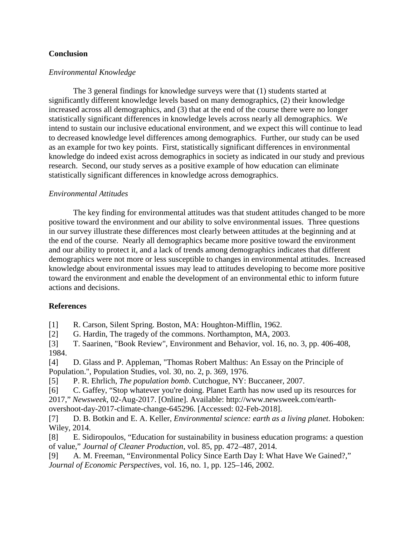# **Conclusion**

# *Environmental Knowledge*

 The 3 general findings for knowledge surveys were that (1) students started at significantly different knowledge levels based on many demographics, (2) their knowledge increased across all demographics, and (3) that at the end of the course there were no longer statistically significant differences in knowledge levels across nearly all demographics. We intend to sustain our inclusive educational environment, and we expect this will continue to lead to decreased knowledge level differences among demographics. Further, our study can be used as an example for two key points. First, statistically significant differences in environmental knowledge do indeed exist across demographics in society as indicated in our study and previous research. Second, our study serves as a positive example of how education can eliminate statistically significant differences in knowledge across demographics.

# *Environmental Attitudes*

 The key finding for environmental attitudes was that student attitudes changed to be more positive toward the environment and our ability to solve environmental issues. Three questions in our survey illustrate these differences most clearly between attitudes at the beginning and at the end of the course. Nearly all demographics became more positive toward the environment and our ability to protect it, and a lack of trends among demographics indicates that different demographics were not more or less susceptible to changes in environmental attitudes. Increased knowledge about environmental issues may lead to attitudes developing to become more positive toward the environment and enable the development of an environmental ethic to inform future actions and decisions.

# **References**

[1] R. Carson, Silent Spring. Boston, MA: Houghton-Mifflin, 1962.

[2] G. Hardin, The tragedy of the commons. Northampton, MA, 2003.

[3] T. Saarinen, "Book Review", Environment and Behavior, vol. 16, no. 3, pp. 406-408, 1984.

[4] D. Glass and P. Appleman, "Thomas Robert Malthus: An Essay on the Principle of Population.", Population Studies, vol. 30, no. 2, p. 369, 1976.

[5] P. R. Ehrlich, *The population bomb*. Cutchogue, NY: Buccaneer, 2007.

[6] C. Gaffey, "Stop whatever you're doing. Planet Earth has now used up its resources for 2017," *Newsweek*, 02-Aug-2017. [Online]. Available: http://www.newsweek.com/earth-

overshoot-day-2017-climate-change-645296. [Accessed: 02-Feb-2018].

[7] D. B. Botkin and E. A. Keller, *Environmental science: earth as a living planet*. Hoboken: Wiley, 2014.

[8] E. Sidiropoulos, "Education for sustainability in business education programs: a question of value," *Journal of Cleaner Production*, vol. 85, pp. 472–487, 2014.

[9] A. M. Freeman, "Environmental Policy Since Earth Day I: What Have We Gained?," *Journal of Economic Perspectives*, vol. 16, no. 1, pp. 125–146, 2002.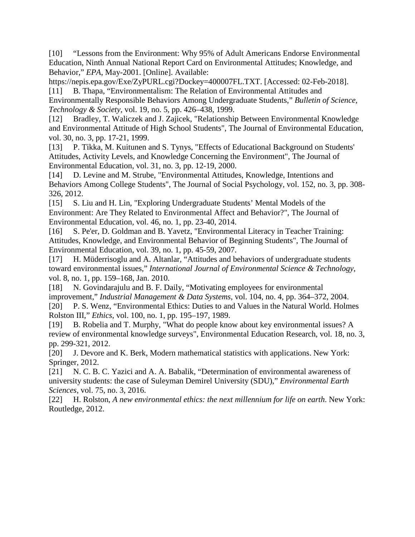[10] "Lessons from the Environment: Why 95% of Adult Americans Endorse Environmental Education, Ninth Annual National Report Card on Environmental Attitudes; Knowledge, and Behavior," *EPA*, May-2001. [Online]. Available:

https://nepis.epa.gov/Exe/ZyPURL.cgi?Dockey=400007FL.TXT. [Accessed: 02-Feb-2018]. [11] B. Thapa, "Environmentalism: The Relation of Environmental Attitudes and

Environmentally Responsible Behaviors Among Undergraduate Students," *Bulletin of Science, Technology & Society*, vol. 19, no. 5, pp. 426–438, 1999.

[12] Bradley, T. Waliczek and J. Zajicek, "Relationship Between Environmental Knowledge and Environmental Attitude of High School Students", The Journal of Environmental Education, vol. 30, no. 3, pp. 17-21, 1999.

[13] P. Tikka, M. Kuitunen and S. Tynys, "Effects of Educational Background on Students' Attitudes, Activity Levels, and Knowledge Concerning the Environment", The Journal of Environmental Education, vol. 31, no. 3, pp. 12-19, 2000.

[14] D. Levine and M. Strube, "Environmental Attitudes, Knowledge, Intentions and Behaviors Among College Students", The Journal of Social Psychology, vol. 152, no. 3, pp. 308- 326, 2012.

[15] S. Liu and H. Lin, "Exploring Undergraduate Students' Mental Models of the Environment: Are They Related to Environmental Affect and Behavior?", The Journal of Environmental Education, vol. 46, no. 1, pp. 23-40, 2014.

[16] S. Pe'er, D. Goldman and B. Yavetz, "Environmental Literacy in Teacher Training: Attitudes, Knowledge, and Environmental Behavior of Beginning Students", The Journal of Environmental Education, vol. 39, no. 1, pp. 45-59, 2007.

[17] H. Müderrisoglu and A. Altanlar, "Attitudes and behaviors of undergraduate students toward environmental issues," *International Journal of Environmental Science & Technology*, vol. 8, no. 1, pp. 159–168, Jan. 2010.

[18] N. Govindarajulu and B. F. Daily, "Motivating employees for environmental improvement," *Industrial Management & Data Systems*, vol. 104, no. 4, pp. 364–372, 2004. [20] P. S. Wenz, "Environmental Ethics: Duties to and Values in the Natural World. Holmes

Rolston III," *Ethics*, vol. 100, no. 1, pp. 195–197, 1989.

[19] B. Robelia and T. Murphy, "What do people know about key environmental issues? A review of environmental knowledge surveys", Environmental Education Research, vol. 18, no. 3, pp. 299-321, 2012.

[20] J. Devore and K. Berk, Modern mathematical statistics with applications. New York: Springer, 2012.

[21] N. C. B. C. Yazici and A. A. Babalik, "Determination of environmental awareness of university students: the case of Suleyman Demirel University (SDU)," *Environmental Earth Sciences*, vol. 75, no. 3, 2016.

[22] H. Rolston, *A new environmental ethics: the next millennium for life on earth*. New York: Routledge, 2012.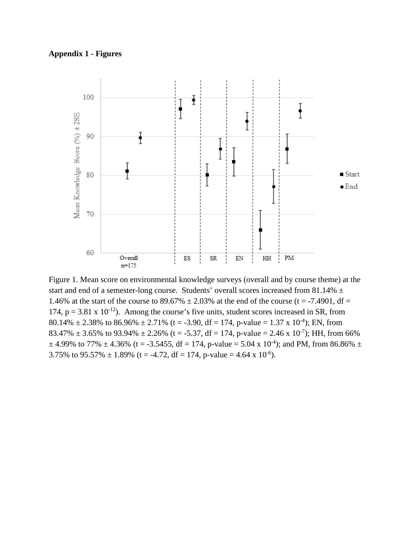## **Appendix 1 - Figures**



Figure 1. Mean score on environmental knowledge surveys (overall and by course theme) at the start and end of a semester-long course. Students' overall scores increased from 81.14%  $\pm$ 1.46% at the start of the course to 89.67%  $\pm$  2.03% at the end of the course (t = -7.4901, df = 174,  $p = 3.81 \times 10^{-12}$ ). Among the course's five units, student scores increased in SR, from 80.14%  $\pm$  2.38% to 86.96%  $\pm$  2.71% (t = -3.90, df = 174, p-value = 1.37 x 10<sup>-4</sup>); EN, from 83.47%  $\pm$  3.65% to 93.94%  $\pm$  2.26% (t = -5.37, df = 174, p-value = 2.46 x 10<sup>-7</sup>); HH, from 66%  $\pm$  4.99% to 77%  $\pm$  4.36% (t = -3.5455, df = 174, p-value = 5.04 x 10<sup>-4</sup>); and PM, from 86.86%  $\pm$ 3.75% to 95.57%  $\pm$  1.89% (t = -4.72, df = 174, p-value = 4.64 x 10<sup>-6</sup>).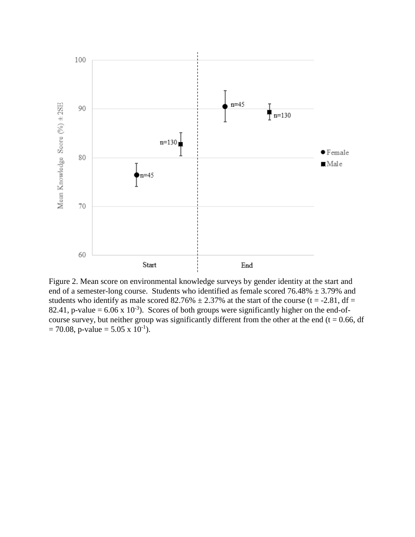

Figure 2. Mean score on environmental knowledge surveys by gender identity at the start and end of a semester-long course. Students who identified as female scored  $76.48\% \pm 3.79\%$  and students who identify as male scored 82.76%  $\pm$  2.37% at the start of the course (t = -2.81, df = 82.41, p-value =  $6.06 \times 10^{-3}$ ). Scores of both groups were significantly higher on the end-ofcourse survey, but neither group was significantly different from the other at the end ( $t = 0.66$ , df  $= 70.08$ , p-value  $= 5.05 \times 10^{-1}$ ).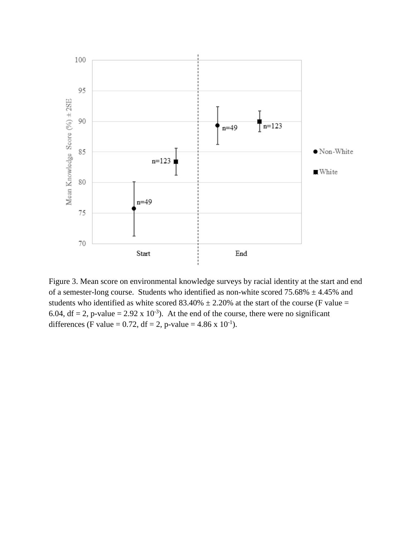

Figure 3. Mean score on environmental knowledge surveys by racial identity at the start and end of a semester-long course. Students who identified as non-white scored  $75.68\% \pm 4.45\%$  and students who identified as white scored  $83.40\% \pm 2.20\%$  at the start of the course (F value = 6.04, df = 2, p-value = 2.92 x 10<sup>-3</sup>). At the end of the course, there were no significant differences (F value = 0.72, df = 2, p-value =  $4.86 \times 10^{-1}$ ).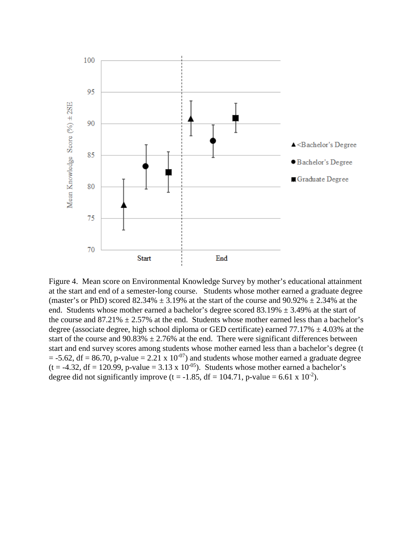

Figure 4. Mean score on Environmental Knowledge Survey by mother's educational attainment at the start and end of a semester-long course. Students whose mother earned a graduate degree (master's or PhD) scored  $82.34\% \pm 3.19\%$  at the start of the course and  $90.92\% \pm 2.34\%$  at the end. Students whose mother earned a bachelor's degree scored 83.19%  $\pm$  3.49% at the start of the course and  $87.21\% \pm 2.57\%$  at the end. Students whose mother earned less than a bachelor's degree (associate degree, high school diploma or GED certificate) earned  $77.17\% \pm 4.03\%$  at the start of the course and  $90.83\% \pm 2.76\%$  at the end. There were significant differences between start and end survey scores among students whose mother earned less than a bachelor's degree (t  $=$  -5.62, df = 86.70, p-value = 2.21 x 10<sup>-07</sup>) and students whose mother earned a graduate degree  $(t = -4.32, df = 120.99, p-value = 3.13 \times 10^{-05})$ . Students whose mother earned a bachelor's degree did not significantly improve (t = -1.85, df = 104.71, p-value = 6.61 x 10<sup>-2</sup>).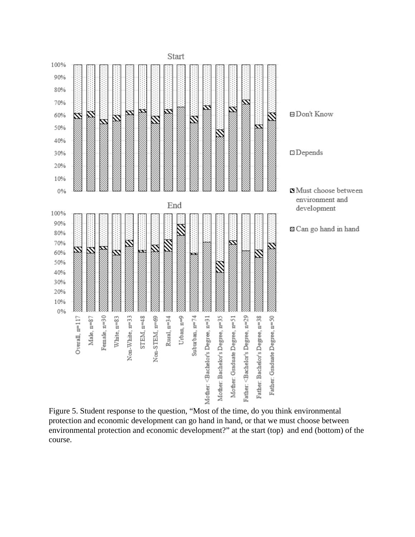

Figure 5. Student response to the question, "Most of the time, do you think environmental protection and economic development can go hand in hand, or that we must choose between environmental protection and economic development?" at the start (top) and end (bottom) of the course.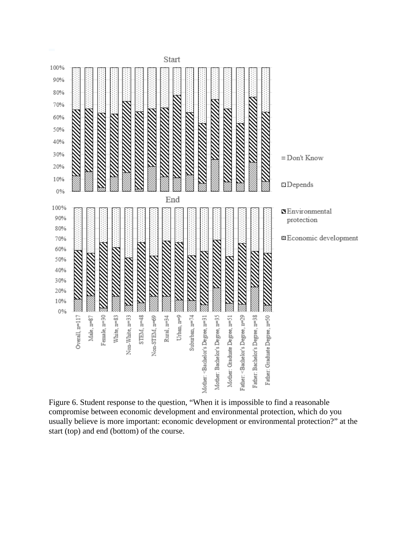

Figure 6. Student response to the question, "When it is impossible to find a reasonable compromise between economic development and environmental protection, which do you usually believe is more important: economic development or environmental protection?" at the start (top) and end (bottom) of the course.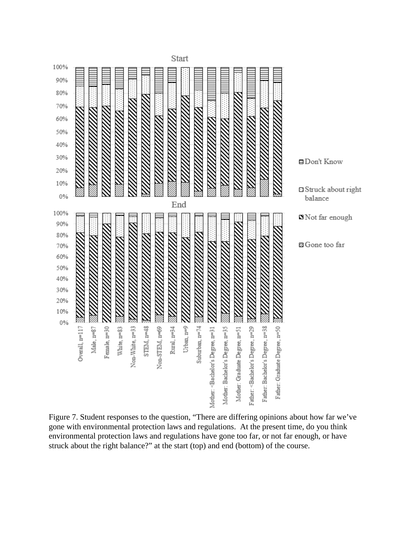

Figure 7. Student responses to the question, "There are differing opinions about how far we've gone with environmental protection laws and regulations. At the present time, do you think environmental protection laws and regulations have gone too far, or not far enough, or have struck about the right balance?" at the start (top) and end (bottom) of the course.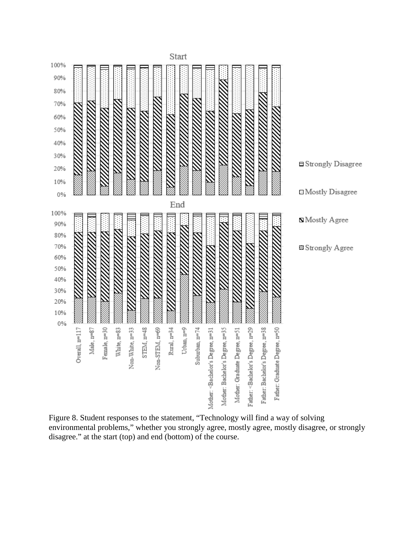

Figure 8. Student responses to the statement, "Technology will find a way of solving environmental problems," whether you strongly agree, mostly agree, mostly disagree, or strongly disagree." at the start (top) and end (bottom) of the course.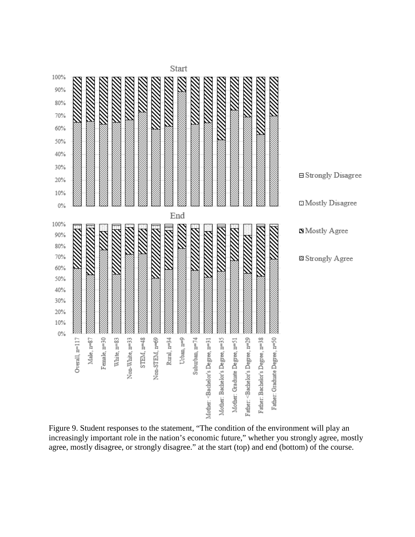

Figure 9. Student responses to the statement, "The condition of the environment will play an increasingly important role in the nation's economic future," whether you strongly agree, mostly agree, mostly disagree, or strongly disagree." at the start (top) and end (bottom) of the course.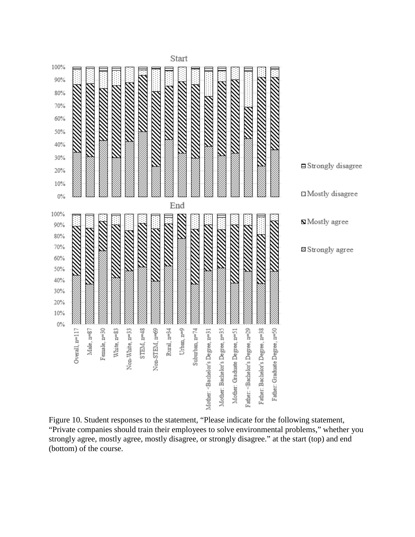

Figure 10. Student responses to the statement, "Please indicate for the following statement, "Private companies should train their employees to solve environmental problems," whether you strongly agree, mostly agree, mostly disagree, or strongly disagree." at the start (top) and end (bottom) of the course.